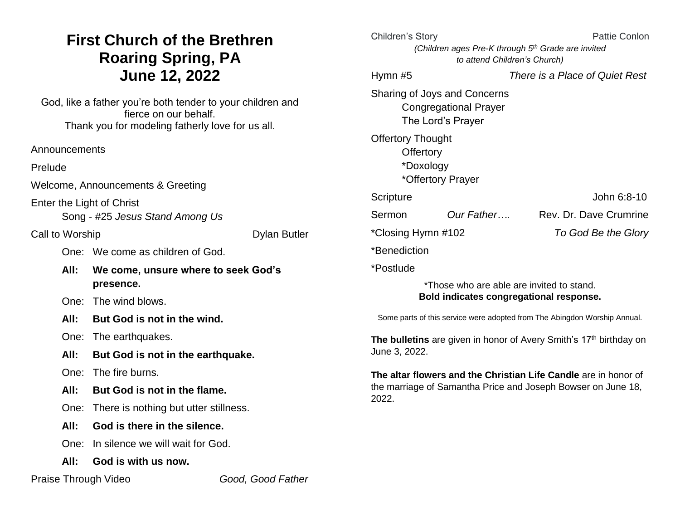# **First Church of the Brethren Roaring Spring, PA June 12, 2022**

God, like a father you're both tender to your children and fierce on our behalf. Thank you for modeling fatherly love for us all.

Prelude

Welcome, Announcements & Greeting

Enter the Light of Christ

Song - #25 *Jesus Stand Among Us*

Call to Worship Dylan Butler

One: We come as children of God.

**All: We come, unsure where to seek God's presence.**

One: The wind blows.

**All: But God is not in the wind.**

One: The earthquakes.

- **All: But God is not in the earthquake.**
- One: The fire burns.
- **All: But God is not in the flame.**
- One: There is nothing but utter stillness.
- **All: God is there in the silence.**

One: In silence we will wait for God.

**All: God is with us now.**

Praise Through Video *Good, Good Father*

| Children's Story         |                                                                                      | Pattie Conlon                                                                                                                   |
|--------------------------|--------------------------------------------------------------------------------------|---------------------------------------------------------------------------------------------------------------------------------|
|                          | (Children ages Pre-K through 5th Grade are invited                                   |                                                                                                                                 |
|                          | to attend Children's Church)                                                         |                                                                                                                                 |
| Hymn $#5$                |                                                                                      | There is a Place of Quiet Rest                                                                                                  |
|                          | Sharing of Joys and Concerns<br><b>Congregational Prayer</b>                         |                                                                                                                                 |
|                          | The Lord's Prayer                                                                    |                                                                                                                                 |
| <b>Offertory Thought</b> |                                                                                      |                                                                                                                                 |
| Offertory                |                                                                                      |                                                                                                                                 |
| *Doxology                |                                                                                      |                                                                                                                                 |
|                          | *Offertory Prayer                                                                    |                                                                                                                                 |
| Scripture                |                                                                                      | John 6:8-10                                                                                                                     |
| Sermon                   | Our Father                                                                           | Rev. Dr. Dave Crumrine                                                                                                          |
| *Closing Hymn #102       |                                                                                      | To God Be the Glory                                                                                                             |
| *Benediction             |                                                                                      |                                                                                                                                 |
| *Postlude                |                                                                                      |                                                                                                                                 |
|                          | *Those who are able are invited to stand.<br>Bold indicates congregational response. |                                                                                                                                 |
|                          |                                                                                      | Some parts of this service were adopted from The Abingdon Worship Annual.                                                       |
| June 3, 2022.            |                                                                                      | The bulletins are given in honor of Avery Smith's 17 <sup>th</sup> birthday on                                                  |
| 2022.                    |                                                                                      | The altar flowers and the Christian Life Candle are in honor of<br>the marriage of Samantha Price and Joseph Bowser on June 18, |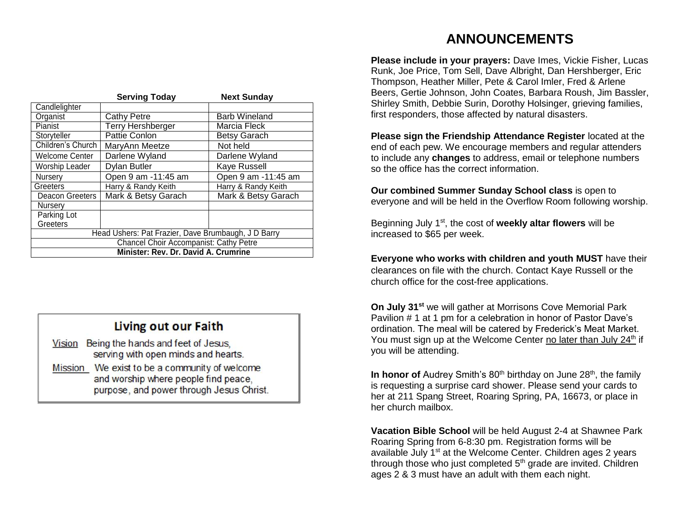|                                                     | <b>Serving Today</b>     | <b>Next Sunday</b>   |
|-----------------------------------------------------|--------------------------|----------------------|
| Candlelighter                                       |                          |                      |
| Organist                                            | <b>Cathy Petre</b>       | <b>Barb Wineland</b> |
| Pianist                                             | <b>Terry Hershberger</b> | Marcia Fleck         |
| Storyteller                                         | Pattie Conlon            | <b>Betsy Garach</b>  |
| Children's Church                                   | MaryAnn Meetze           | Not held             |
| <b>Welcome Center</b>                               | Darlene Wyland           | Darlene Wyland       |
| Worship Leader                                      | Dylan Butler             | Kaye Russell         |
| Nursery                                             | Open 9 am -11:45 am      | Open 9 am -11:45 am  |
| Greeters                                            | Harry & Randy Keith      | Harry & Randy Keith  |
| <b>Deacon Greeters</b>                              | Mark & Betsy Garach      | Mark & Betsy Garach  |
| Nursery                                             |                          |                      |
| Parking Lot                                         |                          |                      |
| Greeters                                            |                          |                      |
| Head Ushers: Pat Frazier, Dave Brumbaugh, J D Barry |                          |                      |
| <b>Chancel Choir Accompanist: Cathy Petre</b>       |                          |                      |
| Minister: Rev. Dr. David A. Crumrine                |                          |                      |

### **Living out our Faith**

| Vision         | Being the hands and feet of Jesus,                                                                                        |
|----------------|---------------------------------------------------------------------------------------------------------------------------|
|                | serving with open minds and hearts.                                                                                       |
| <b>Mission</b> | We exist to be a community of welcome<br>and worship where people find peace,<br>purpose, and power through Jesus Christ. |

## **ANNOUNCEMENTS**

**Please include in your prayers:** Dave Imes, Vickie Fisher, Lucas Runk, Joe Price, Tom Sell, Dave Albright, Dan Hershberger, Eric Thompson, Heather Miller, Pete & Carol Imler, Fred & Arlene Beers, Gertie Johnson, John Coates, Barbara Roush, Jim Bassler, Shirley Smith, Debbie Surin, Dorothy Holsinger, grieving families, first responders, those affected by natural disasters.

**Please sign the Friendship Attendance Register** located at the end of each pew. We encourage members and regular attenders to include any **changes** to address, email or telephone numbers so the office has the correct information.

**Our combined Summer Sunday School class** is open to everyone and will be held in the Overflow Room following worship.

Beginning July 1st, the cost of **weekly altar flowers** will be increased to \$65 per week.

**Everyone who works with children and youth MUST** have their clearances on file with the church. Contact Kaye Russell or the church office for the cost-free applications.

**On July 31st** we will gather at Morrisons Cove Memorial Park Pavilion # 1 at 1 pm for a celebration in honor of Pastor Dave's ordination. The meal will be catered by Frederick's Meat Market. You must sign up at the Welcome Center no later than July 24<sup>th</sup> if you will be attending.

**In honor of** Audrey Smith's 80<sup>th</sup> birthday on June 28<sup>th</sup>, the family is requesting a surprise card shower. Please send your cards to her at 211 Spang Street, Roaring Spring, PA, 16673, or place in her church mailbox.

**Vacation Bible School** will be held August 2-4 at Shawnee Park Roaring Spring from 6-8:30 pm. Registration forms will be available July 1<sup>st</sup> at the Welcome Center. Children ages 2 years through those who just completed  $5<sup>th</sup>$  grade are invited. Children ages 2 & 3 must have an adult with them each night.